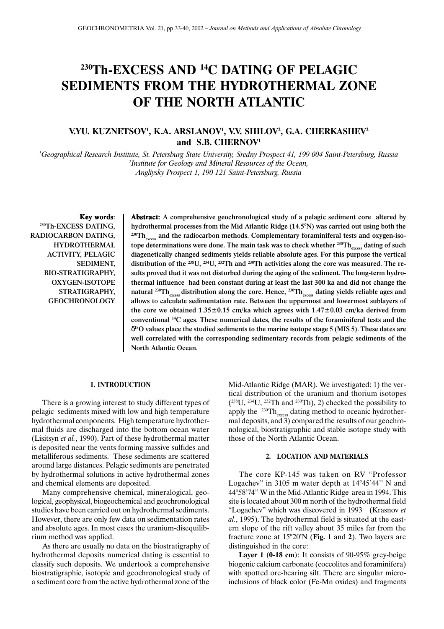# **230Th-EXCESS AND 14C DATING OF PELAGIC SEDIMENTS FROM THE HYDROTHERMAL ZONE OF THE NORTH ATLANTIC**

## **V.YU. KUZNETSOV1 , K.A. ARSLANOV1 , V.V. SHILOV2 , G.A. CHERKASHEV2 and S.B. CHERNOV1**

*1 Geographical Research Institute, St. Petersburg State University, Sredny Prospect 41, 199 004 Saint-Petersburg, Russia 2 Institute for Geology and Mineral Resources of the Ocean, Angliysky Prospect 1, 190 121 Saint-Petersburg, Russia*

Key words: 230Th-EXCESS DATING, RADIOCARBON DATING, HYDROTHERMAL ACTIVITY, PELAGIC SEDIMENT, BIO-STRATIGRAPHY, OXYGEN-ISOTOPE STRATIGRAPHY, GEOCHRONOLOGY

Abstract: A comprehensive geochronological study of a pelagic sediment core altered by hydrothermal processes from the Mid Atlantic Ridge (14.5°N) was carried out using both the  $230Th_{arcsec}$  and the radiocarbon methods. Complementary foraminiferal tests and oxygen-isotope determinations were done. The main task was to check whether <sup>230</sup>Th<sub>excess</sub> dating of such diagenetically changed sediments yields reliable absolute ages. For this purpose the vertical distribution of the  $^{238}$ U,  $^{234}$ U,  $^{232}$ Th and  $^{230}$ Th activities along the core was measured. The results proved that it was not disturbed during the aging of the sediment. The long-term hydrothermal influence had been constant during at least the last 300 ka and did not change the natural <sup>230</sup>Th<sub>excess</sub> distribution along the core. Hence, <sup>230</sup>Th<sub>excess</sub> dating yields reliable ages and allows to calculate sedimentation rate. Between the uppermost and lowermost sublayers of the core we obtained  $1.35\pm0.15$  cm/ka which agrees with  $1.47\pm0.03$  cm/ka derived from conventional 14C ages. These numerical dates, the results of the foraminiferal tests and the  $\delta^{18}$ O values place the studied sediments to the marine isotope stage 5 (MIS 5). These dates are well correlated with the corresponding sedimentary records from pelagic sediments of the North Atlantic Ocean.

#### **1. INTRODUCTION**

There is a growing interest to study different types of pelagic sediments mixed with low and high temperature hydrothermal components. High temperature hydrothermal fluids are discharged into the bottom ocean water (Lisitsyn *et al.*, 1990). Part of these hydrothermal matter is deposited near the vents forming massive sulfides and metalliferous sediments. These sediments are scattered around large distances. Pelagic sediments are penetrated by hydrothermal solutions in active hydrothermal zones and chemical elements are deposited.

Many comprehensive chemical, mineralogical, geological, geophysical, biogeochemical and geochronological studies have been carried out on hydrothermal sediments. However, there are only few data on sedimentation rates and absolute ages. In most cases the uranium-disequilibrium method was applied.

As there are usually no data on the biostratigraphy of hydrothermal deposits numerical dating is essential to classify such deposits. We undertook a comprehensive biostratigraphic, isotopic and geochronological study of a sediment core from the active hydrothermal zone of the

Mid-Atlantic Ridge (MAR). We investigated: 1) the vertical distribution of the uranium and thorium isotopes  $(238)$ U,  $234$ U,  $232$ Th and  $230$ Th), 2) checked the possibility to apply the  $230 \text{Th}_{\text{excess}}$  dating method to oceanic hydrothermal deposits, and 3) compared the results of our geochronological, biostratigraphic and stable isotope study with those of the North Atlantic Ocean.

#### **2. LOCATION AND MATERIALS**

The core KP-145 was taken on RV "Professor Logachev" in 3105 m water depth at 14°45'44'' N and 44°58'74'' W in the Mid-Atlantic Ridge area in 1994. This site is located about 300 m north of the hydrothermal field "Logachev" which was discovered in 1993 (Krasnov *et al.*, 1995). The hydrothermal field is situated at the eastern slope of the rift valley about 35 miles far from the fracture zone at 15°20'N (**Fig. 1** and **2**). Two layers are distinguished in the core:

**Layer 1 (0-18 cm)**: It consists of 90-95% grey-beige biogenic calcium carbonate (coccolites and foraminifera) with spotted ore-bearing silt. There are singular microinclusions of black color (Fe-Mn oxides) and fragments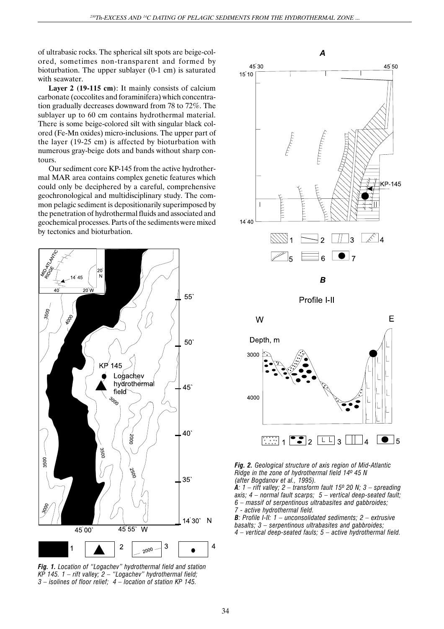of ultrabasic rocks. The spherical silt spots are beige-colored, sometimes non-transparent and formed by bioturbation. The upper sublayer (0-1 cm) is saturated with seawater.

Layer 2 (19-115 cm): It mainly consists of calcium carbonate (coccolites and foraminifera) which concentration gradually decreases downward from 78 to 72%. The sublayer up to 60 cm contains hydrothermal material. There is some beige-colored silt with singular black colored (Fe-Mn oxides) micro-inclusions. The upper part of the layer (19-25 cm) is affected by bioturbation with numerous gray-beige dots and bands without sharp contours.

Our sediment core KP-145 from the active hydrothermal MAR area contains complex genetic features which could only be deciphered by a careful, comprehensive geochronological and multidisciplinary study. The common pelagic sediment is depositionarily superimposed by the penetration of hydrothermal fluids and associated and geochemical processes. Parts of the sediments were mixed by tectonics and bioturbation.



*Fig. 1. Location of "Logachev" hydrothermal field and station KP 145. 1 – rift valley; 2 – "Logachev" hydrothermal field; 3 – isolines of floor relief; 4 – location of station KP 145.*



*Fig. 2. Geological structure of axis region of Mid-Atlantic*

*Ridge in the zone of hydrothermal field 14o 45 N (after Bogdanov et al., 1995).*

*A: 1 – rift valley; 2 – transform fault 15o 20 N; 3 – spreading axis; 4 – normal fault scarps; 5 – vertical deep-seated fault; 6 – massif of serpentinous ultrabasites and gabbroides; 7 - active hydrothermal field.*

*B: Profile I-II: 1 – unconsolidated sediments; 2 – extrusive basalts; 3 – serpentinous ultrabasites and gabbroides; 4 – vertical deep-seated fauls; 5 – active hydrothermal field.*

 $\Delta$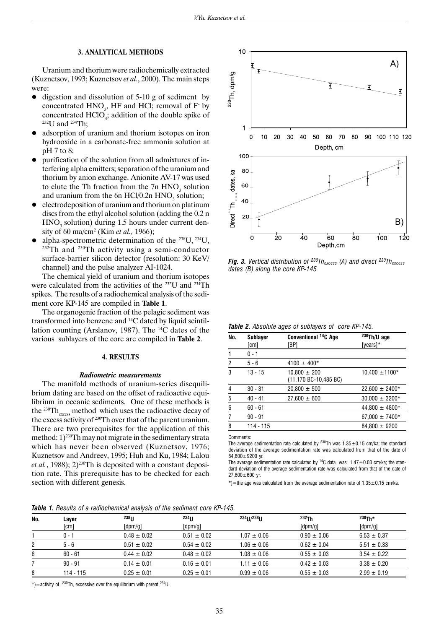## **3. ANALYTICAL METHODS**

Uranium and thorium were radiochemically extracted (Kuznetsov, 1993; Kuznetsov *et al.*, 2000). The main steps were:

- $\bullet$  digestion and dissolution of 5-10 g of sediment by concentrated  $HNO_3$ , HF and HCl; removal of F by concentrated  $HClO<sub>4</sub>$ ; addition of the double spike of 232U and 234Th;
- adsorption of uranium and thorium isotopes on iron hydrooxide in a carbonate-free ammonia solution at pH 7 to 8;
- $\bullet$  purification of the solution from all admixtures of interfering alpha emitters; separation of the uranium and thorium by anion exchange. Anionite AV-17 was used to elute the Th fraction from the  $7n HNO<sub>3</sub>$  solution and uranium from the 6n HCl/0.2n  $HNO<sub>3</sub>$  solution;
- l electrodeposition of uranium and thorium on platinum discs from the ethyl alcohol solution (adding the 0.2 n  $HNO<sub>3</sub>$  solution) during 1.5 hours under current density of 60 ma/cm2 (Kim *et al.,* 1966);
- l alpha-spectrometric determination of the 238U, 234U,  $232$ Th and  $230$ Th activity using a semi-conductor surface-barrier silicon detector (resolution: 30 KeV/ channel) and the pulse analyzer AI-1024.

The chemical yield of uranium and thorium isotopes were calculated from the activities of the 232U and 234Th spikes. The results of a radiochemical analysis of the sediment core KP-145 are compiled in **Table 1**.

The organogenic fraction of the pelagic sediment was transformed into benzene and 14C dated by liquid scintillation counting (Arslanov, 1987). The 14C dates of the various sublayers of the core are compiled in **Table 2**.

#### **4. RESULTS**

#### *Radiometric measurements*

The manifold methods of uranium-series disequilibrium dating are based on the offset of radioactive equilibrium in oceanic sediments. One of these methods is the  $^{230}Th_{excess}$  method which uses the radioactive decay of the excess activity of 230Th over that of the parent uranium. There are two prerequisites for the application of this method: 1)230Th may not migrate in the sedimentary strata which has never been observed (Kuznetsov, 1976; Kuznetsov and Andreev, 1995; Huh and Ku, 1984; Lalou et al., 1988); 2)<sup>230</sup>Th is deposited with a constant deposition rate. This prerequisite has to be checked for each section with different genesis.



*Fig. 3. Vertical distribution of 230Thexcess (A) and direct 230Thexcess dates (B) along the core KP-145*

| <b>Table 2.</b> Absolute ages of sublayers of core KP-145. |  |  |
|------------------------------------------------------------|--|--|
|------------------------------------------------------------|--|--|

| No. | <b>Sublayer</b><br>[cm] | Conventional <sup>14</sup> C Age<br>[BP]  | $230$ Th/U age<br>[years]* |
|-----|-------------------------|-------------------------------------------|----------------------------|
| 1   | $0 - 1$                 |                                           |                            |
| 2   | $5 - 6$                 | $4100 \pm 400*$                           |                            |
| 3   | $13 - 15$               | $10,800 \pm 200$<br>(11,170 BC-10,485 BC) | $10,400 \pm 1100*$         |
| 4   | $30 - 31$               | $20,800 \pm 500$                          | $22,600 \pm 2400*$         |
| 5   | $40 - 41$               | $27,600 \pm 600$                          | $30,000 \pm 3200*$         |
| 6   | $60 - 61$               |                                           | 44,800 $\pm$ 4800*         |
| 7   | $90 - 91$               |                                           | $67,000 \pm 7400*$         |
| 8   | 114 - 115               |                                           | $84,800 \pm 9200$          |
|     |                         |                                           |                            |

Comments:

The average sedimentation rate calculated by  $^{230}$ Th was 1.35 $\pm$ 0.15 cm/ka; the standard deviation of the average sedimentation rate was calculated from that of the date of 84,800±9200 yr.

The average sedimentation rate calculated by  ${}^{14}$ C data was  $1.47 \pm 0.03$  cm/ka; the standard deviation of the average sedimentation rate was calculated from that of the date of 27,600 $\pm$ 600 yr.

 $*$ )=the age was calculated from the average sedimentation rate of 1.35 $\pm$ 0.15 cm/ka.

*Table 1. Results of a radiochemical analysis of the sediment core KP-145.*

| No.                  | Laver       | 238U            | 234 <sub>U</sub>                        | 234U/238U       | $^{232}$ Th                    | $^{230}$ Th*                            |
|----------------------|-------------|-----------------|-----------------------------------------|-----------------|--------------------------------|-----------------------------------------|
|                      | [cm]        | [dpm/g]         | $\lceil \mathsf{dpm}/\mathsf{g} \rceil$ |                 | $\lceil \mathsf{dpm/g} \rceil$ | $\lceil \mathsf{dpm}/\mathsf{g} \rceil$ |
|                      | $0 - 1$     | $0.48 \pm 0.02$ | $0.51 \pm 0.02$                         | $1.07 \pm 0.06$ | $0.90 \pm 0.06$                | $6.53 \pm 0.37$                         |
| $\mathbf{2}^{\circ}$ | $5 - 6$     | $0.51 \pm 0.02$ | $0.54 \pm 0.02$                         | $1.06 \pm 0.06$ | $0.62 \pm 0.04$                | $5.51 \pm 0.33$                         |
| 6                    | $60 - 61$   | $0.44 \pm 0.02$ | $0.48 \pm 0.02$                         | $1.08 \pm 0.06$ | $0.55 \pm 0.03$                | $3.54 \pm 0.22$                         |
|                      | $90 - 91$   | $0.14 \pm 0.01$ | $0.16 \pm 0.01$                         | $1.11 \pm 0.06$ | $0.42 \pm 0.03$                | $3.38 \pm 0.20$                         |
| 8                    | $114 - 115$ | $0.25 \pm 0.01$ | $0.25 \pm 0.01$                         | $0.99 \pm 0.06$ | $0.55 \pm 0.03$                | $2.99 \pm 0.19$                         |

\*) = activity of  $^{230}$ Th, excessive over the equilibrium with parent  $^{234}$ U.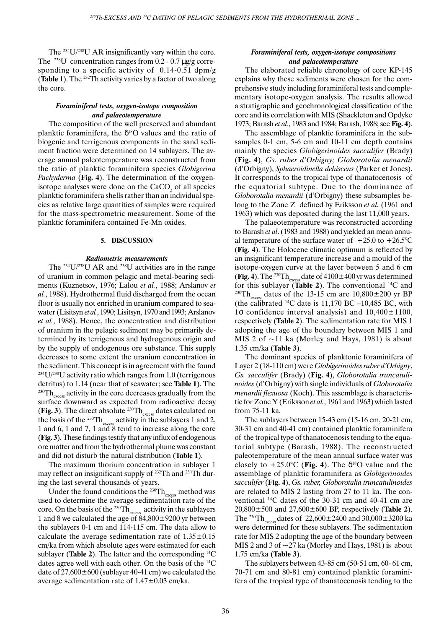The <sup>234</sup>U/<sup>238</sup>U AR insignificantly vary within the core. The <sup>238</sup>U concentration ranges from 0.2 - 0.7  $\mu$ g/g corresponding to a specific activity of 0.14-0.51 dpm/g (**Table 1**). The 232Th activity varies by a factor of two along the core.

## *Foraminiferal tests, oxygen-isotope composition and palaeotemperature*

The composition of the well preserved and abundant planktic foraminifera, the  $\delta^{18}$ O values and the ratio of biogenic and terrigenous components in the sand sediment fraction were determined on 14 sublayers. The average annual paleotemperature was reconstructed from the ratio of planktic foraminifera species *Globigerina Pachyderma* (**Fig. 4**). The determination of the oxygenisotope analyses were done on the  $CaCO<sub>3</sub>$  of all species planktic foraminifera shells rather than an individual species as relative large quantities of samples were required for the mass-spectrometric measurement. Some of the planktic foraminifera contained Fe-Mn oxides.

#### **5. DISCUSSION**

#### *Radiometric measurements*

The  $^{234}U/^{238}U$  AR and  $^{238}U$  activities are in the range of uranium in common pelagic and metal-bearing sediments (Kuznetsov, 1976; Lalou *et al.*, 1988; Arslanov *et al.*, 1988). Hydrothermal fluid discharged from the ocean floor is usually not enriched in uranium compared to seawater (Lisitsyn *et al.*, 1990; Lisitsyn, 1970 and 1993; Arslanov *et al.*, 1988). Hence, the concentration and distribution of uranium in the pelagic sediment may be primarily determined by its terrigenous and hydrogenous origin and by the supply of endogenous ore substance. This supply decreases to some extent the uranium concentration in the sediment. This concept is in agreement with the found  $234$ U/ $238$ U activity ratio which ranges from 1.0 (terrigenous detritus) to 1.14 (near that of seawater; see **Table 1**). The  $^{230}Th_{\text{excess}}$  activity in the core decreases gradually from the surface downward as expected from radioactive decay (**Fig. 3**). The direct absolute  $^{230}Th_{excess}$  dates calculated on the basis of the <sup>230</sup>Th<sub>excess</sub> activity in the sublayers 1 and 2, 1 and 6, 1 and 7, 1 and 8 tend to increase along the core (**Fig. 3**). These findings testify that any influx of endogenous ore matter and from the hydrothermal plume was constant and did not disturb the natural distribution (**Table 1**).

The maximum thorium concentration in sublayer 1 may reflect an insignificant supply of 232Th and 230Th during the last several thousands of years.

Under the found conditions the  $^{230}Th_{excess}$  method was used to determine the average sedimentation rate of the core. On the basis of the  $^{230}Th_{\text{excess}}$  activity in the sublayers 1 and 8 we calculated the age of  $84,800\pm9200$  yr between the sublayers 0-1 cm and 114-115 cm. The data allow to calculate the average sedimentation rate of  $1.35\pm0.15$ cm/ka from which absolute ages were estimated for each sublayer (**Table 2**). The latter and the corresponding 14C dates agree well with each other. On the basis of the 14C date of  $27,600\pm600$  (sublayer 40-41 cm) we calculated the average sedimentation rate of  $1.47 \pm 0.03$  cm/ka.

### *Foraminiferal tests, oxygen-isotope compositions and palaeotemperature*

The elaborated reliable chronology of core KP-145 explains why these sediments were chosen for the comprehensive study including foraminiferal tests and complementary isotope-oxygen analysis. The results allowed a stratigraphic and geochronological classification of the core and its correlation with MIS (Shackleton and Opdyke 1973; Barash *et al.*, 1983 and 1984; Barash, 1988; see **Fig. 4**).

The assemblage of planktic foraminifera in the subsamples 0-1 cm, 5-6 cm and 10-11 cm depth contains mainly the species *Globigerinoides sacculifer* (Brady) (**Fig. 4**), *Gs. ruber d'Orbigny; Globorotalia menardii* (d'Orbigny), *Sphaeroidinella dehiscens* (Parker et Jones). It corresponds to the tropical type of thanatocenosis of the equatorial subtype. Due to the dominance of *Globorotalia menardii* (d'Orbigny) these subsamples belong to the Zone Z defined by Eriksson *et al.* (1961 and 1963) which was deposited during the last 11,000 years.

The palaeotemperature was reconstructed according to Barash *et al*. (1983 and 1988) and yielded an mean annual temperature of the surface water of  $+25.0$  to  $+26.5$ °C (**Fig. 4**). The Holocene climatic optimum is reflected by an insignificant temperature increase and a mould of the isotope-oxygen curve at the layer between 5 and 6 cm (**Fig. 4**). The <sup>230</sup>Th<sub>excess</sub> date of  $4100 \pm 400$  yr was determined for this sublayer (**Table 2**). The conventional 14C and <sup>230</sup>Th<sub>excess</sub> dates of the 13-15 cm are  $10,800\pm200$  yr BP (the calibrated  $^{14}$ C date is 11,170 BC –10,485 BC, with 1σ confidence interval analysis) and 10,400±1100, respectively (**Table 2**). The sedimentation rate for MIS 1 adopting the age of the boundary between MIS 1 and MIS 2 of  $\sim$ 11 ka (Morley and Hays, 1981) is about 1.35 cm/ka (**Table 3**).

The dominant species of planktonic foraminifera of Layer 2 (18-110 cm) were *Globigerinoides ruber d'Orbigny*, *Gs. sacculifer* (Brady) (**Fig. 4**), *Globorotalia truncatulinoides* (d'Orbigny) with single individuals of *Globorotalia menardii flexuosa* (Koch). This assemblage is characteristic for Zone Y (Eriksson *et al.*, 1961 and 1963) which lasted from 75-11 ka.

The sublayers between 15-43 cm (15-16 cm, 20-21 cm, 30-31 cm and 40-41 cm) contained planktic foraminifera of the tropical type of thanatocenosis tending to the equatorial subtype (Barash, 1988). The reconstructed paleotemperature of the mean annual surface water was closely to  $+25.0$ °C (**Fig. 4**). The  $\delta^{18}$ O value and the assemblage of planktic foraminifera as *Globigerinoides sacculifer* (**Fig. 4**), *Gs. ruber, Globorotalia truncatulinoides* are related to MIS 2 lasting from 27 to 11 ka. The conventional 14C dates of the 30-31 cm and 40-41 cm are 20,800±500 and 27,600±600 BP, respectively (**Table 2**). The <sup>230</sup>Th<sub>excess</sub> dates of 22,600±2400 and 30,000±3200 ka were determined for these sublayers. The sedimentation rate for MIS 2 adopting the age of the boundary between MIS 2 and 3 of  $\sim$  27 ka (Morley and Hays, 1981) is about 1.75 cm/ka (**Table 3**).

The sublayers between 43-85 cm (50-51 cm, 60- 61 cm, 70-71 cm and 80-81 cm) contained planktic foraminifera of the tropical type of thanatocenosis tending to the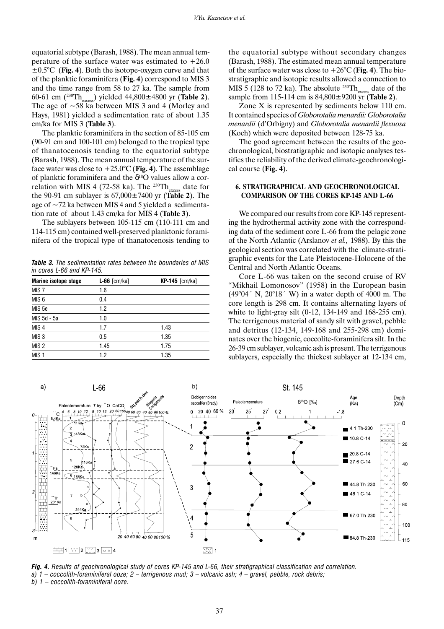equatorial subtype (Barash, 1988). The mean annual temperature of the surface water was estimated to  $+26.0$ ±0.5°C (**Fig. 4**). Both the isotope-oxygen curve and that of the planktic foraminifera (**Fig. 4**) correspond to MIS 3 and the time range from 58 to 27 ka. The sample from 60-61 cm (230Thexcess) yielded 44,800±4800 yr (**Table 2**). The age of  $\sim 58$  ka between MIS 3 and 4 (Morley and Hays, 1981) yielded a sedimentation rate of about 1.35 cm/ka for MIS 3 (**Table 3**).

The planktic foraminifera in the section of 85-105 cm (90-91 cm and 100-101 cm) belonged to the tropical type of thanatocenosis tending to the equatorial subtype (Barash, 1988). The mean annual temperature of the surface water was close to +25.0°C (**Fig. 4**). The assemblage of planktic foraminifera and the  $\delta^{18}$ O values allow a correlation with MIS 4 (72-58 ka). The <sup>230</sup>Th<sub>excess</sub> date for the 90-91 cm sublayer is 67,000±7400 yr (**Table 2**). The age of  $\sim$ 72 ka between MIS 4 and 5 yielded a sedimentation rate of about 1.43 cm/ka for MIS 4 (**Table 3**).

The sublayers between 105-115 cm (110-111 cm and 114-115 cm) contained well-preserved planktonic foraminifera of the tropical type of thanatocenosis tending to

*Table 3. The sedimentation rates between the boundaries of MIS in cores L-66 and KP-145.*

| <b>Marine isotope stage</b> | $L-66$ [cm/ka] | $KP-145$ [cm/ka] |
|-----------------------------|----------------|------------------|
| MIS <sub>7</sub>            | 1.6            |                  |
| MIS <sub>6</sub>            | 0.4            |                  |
| MIS <sub>5e</sub>           | 1.2            |                  |
| MIS 5d - 5a                 | 1.0            |                  |
| MIS <sub>4</sub>            | 1.7            | 1.43             |
| MIS <sub>3</sub>            | 0.5            | 1.35             |
| MIS <sub>2</sub>            | 1.45           | 1.75             |
| MIS <sub>1</sub>            | 1.2            | 1.35             |

the equatorial subtype without secondary changes (Barash, 1988). The estimated mean annual temperature of the surface water was close to +26°C (**Fig. 4**). The biostratigraphic and isotopic results allowed a connection to MIS 5 (128 to 72 ka). The absolute  $^{230}Th_{\text{excess}}$  date of the sample from 115-114 cm is 84,800±9200 yr (**Table 2**).

Zone X is represented by sediments below 110 cm. It contained species of *Globorotalia menardii: Globorotalia menardii* (d'Orbigny) and *Globorotalia menardii flexuosa* (Koch) which were deposited between 128-75 ka.

The good agreement between the results of the geochronological, biostratigraphic and isotopic analyses testifies the reliability of the derived climate-geochronological course (**Fig. 4**).

## **6. STRATIGRAPHICAL AND GEOCHRONOLOGICAL COMPARISON OF THE CORES KP-145 AND L-66**

We compared our results from core KP-145 representing the hydrothermal activity zone with the corresponding data of the sediment core L-66 from the pelagic zone of the North Atlantic (Arslanov *et al.,* 1988). By this the geological section was correlated with the climate-stratigraphic events for the Late Pleistocene-Holocene of the Central and North Atlantic Oceans.

Core L-66 was taken on the second cruise of RV "Mikhail Lomonosov" (1958) in the European basin (49°04´ N, 20°18´ W) in a water depth of 4000 m. The core length is 298 cm. It contains alternating layers of white to light-gray silt (0-12, 134-149 and 168-255 cm). The terrigenous material of sandy silt with gravel, pebble and detritus (12-134, 149-168 and 255-298 cm) dominates over the biogenic, coccolite-foraminifera silt. In the 26-39 cm sublayer, volcanic ash is present. The terrigenous sublayers, especially the thickest sublayer at 12-134 cm,



*Fig. 4. Results of geochronological study of cores KP-145 and L-66, their stratigraphical classification and correlation. a) 1 – coccolith-foraminiferal ooze; 2 – terrigenous mud; 3 – volcanic ash; 4 – gravel, pebble, rock debris; b) 1 – coccolith-foraminiferal ooze.*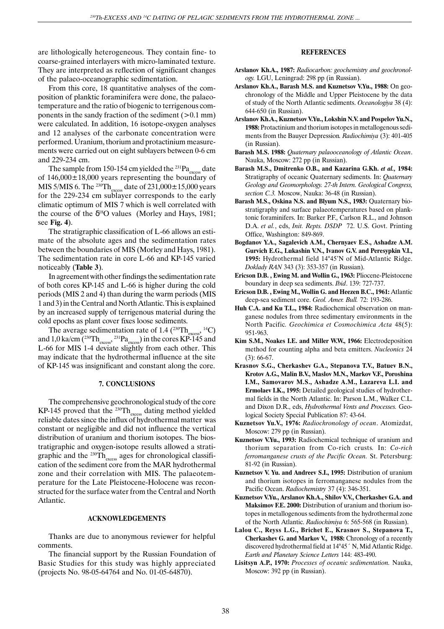are lithologically heterogeneous. They contain fine- to coarse-grained interlayers with micro-laminated texture. They are interpreted as reflection of significant changes of the palaeo-oceanographic sedimentation.

From this core, 18 quantitative analyses of the composition of planktic foraminifera were done, the palaeotemperature and the ratio of biogenic to terrigenous components in the sandy fraction of the sediment  $(>0.1 \text{ mm})$ were calculated. In addition, 16 isotope-oxygen analyses and 12 analyses of the carbonate concentration were performed. Uranium, thorium and protactinium measurements were carried out on eight sublayers between 0-6 cm and 229-234 cm.

The sample from 150-154 cm yielded the  $^{231}Pa$ <sub>excess</sub> date of  $146,000 \pm 18,000$  years representing the boundary of MIS 5/MIS 6. The <sup>230</sup>Th<sub>excess</sub> date of 231,000 $\pm$ 15,000 years for the 229-234 cm sublayer corresponds to the early climatic optimum of MIS 7 which is well correlated with the course of the  $\delta^{18}$ O values (Morley and Hays, 1981; see **Fig. 4**).

The stratigraphic classification of L-66 allows an estimate of the absolute ages and the sedimentation rates between the boundaries of MIS (Morley and Hays, 1981). The sedimentation rate in core L-66 and KP-145 varied noticeably (**Table 3**).

In agreement with other findings the sedimentation rate of both cores KP-145 and L-66 is higher during the cold periods (MIS 2 and 4) than during the warm periods (MIS 1 and 3) in the Central and North Atlantic. This is explained by an increased supply of terrigenous material during the cold epochs as plant cover fixes loose sediments.

The average sedimentation rate of 1.4  $(^{230}\text{Th}_{\text{excess}}$ ,  $^{14}\text{C}$ ) and  $1.0$  ka/cm ( $230$ Th<sub>excess</sub>,  $231$ Pa<sub>excess</sub>) in the cores KP-145 and L-66 for MIS 1-4 deviate slightly from each other. This may indicate that the hydrothermal influence at the site of KP-145 was insignificant and constant along the core.

#### **7. CONCLUSIONS**

The comprehensive geochronological study of the core KP-145 proved that the  $^{230}Th_{excess}$  dating method yielded reliable dates since the influx of hydrothermal matter was constant or negligible and did not influence the vertical distribution of uranium and thorium isotopes. The biostratigraphic and oxygen-isotope results allowed a stratigraphic and the  $^{230}\text{Th}_{\text{excess}}$  ages for chronological classification of the sediment core from the MAR hydrothermal zone and their correlation with MIS. The palaeotemperature for the Late Pleistocene-Holocene was reconstructed for the surface water from the Central and North Atlantic.

### **ACKNOWLEDGEMENTS**

Thanks are due to anonymous reviewer for helpful comments.

The financial support by the Russian Foundation of Basic Studies for this study was highly appreciated (projects No. 98-05-64764 and No. 01-05-64870).

## **REFERENCES**

- **Arslanov Kh.A., 1987:** *Radiocarbon: geochemistry and geochronology.* LGU, Leningrad: 298 pp (in Russian).
- **Arslanov Kh.A., Barash M.S. and Kuznetsov V.Yu., 1988:** On geochronology of the Middle and Upper Pleistocene by the data of study of the North Atlantic sediments. *Oceanologiya* 38 (4): 644-650 (in Russian).
- **Arslanov Kh.A., Kuznetsov V.Yu., Lokshin N.V. and Pospelov Yu.N., 1988:** Protactinium and thorium isotopes in metallogenous sediments from the Bauyer Depression*. Radiochimiya* (3): 401-405 (in Russian).
- **Barash M.S. 1988:** *Quaternary palaooceanology of Atlantic Ocean*. Nauka, Moscow: 272 pp (in Russian).
- **Barash M.S., Dmitrenko O.B., and Kazarina G.Kh.** *et al.,* **1984:** Stratigraphy of oceanic Quaternary sediments. In: *Quaternary Geology and Geomorphology. 27-th Intern. Geological Congress, section C.3.* Moscow, Nauka: 36-48 (in Russian).
- **Barash M.S., Oskina N.S. and Blyum N.S., 1983:** Quaternary biostratigraphy and surface palaeotemperatures based on planktonic foraminifers. In: Barker P.F., Carlson R.L., and Johnson D.A. *et al.*, eds, *Init. Repts. DSDP* 72. U.S. Govt. Printing Office, Washington: 849-869.
- **Bogdanov Y.A., Sagalevich A.M., Chernyaev E.S., Ashadze A.M. Gurvich E.G., Lukashin V.N., Ivanov G.V. and Peresypkin V.I., 1995:** Hydrothermal field 14°45'N of Mid-Atlantic Ridge. *Doklady RAN* 343 (3): 353-357 (in Russian).
- **Ericson D.B. , Ewing M. and Wollin G., 1963:** Pliocene-Pleistocene boundary in deep sea sediments. *Ibid*. 139: 727-737.
- **Ericson D.B. , Ewing M., Wollin G. and Heezen B.C., 1961:** Atlantic deep-sea sediment core. *Geol. Amer. Bull.* 72: 193-286.
- **Huh C.A. and Ku T.L., 1984:** Radiochemical observation on manganese nodules from three sedimentary environments in the North Pacific*. Geochimica et Cosmochimica Acta* 48(5): 951-963.
- **Kim S.M., Noakes I.E. and Miller W.W., 1966:** Electrodeposition method for counting alpha and beta emitters. *Nucleonics* 24 (3): 66-67.
- **Krasnov S.G., Cherkashev G.A., Stepanova T.V., Batuev B.N., Krotov A.G., Malin B.V., Maslov M.N., Markov V.F., Poroshina I.M., Samovarov M.S., Ashadze A.M., Lazareva L.I. and Ermolaev I.K., 1995:** Detailed geological studies of hydrothermal fields in the North Atlantic. In: Parson L.M., Walker C.L. and Dixon D.R., eds, *Hydrothermal Vents and Processes.* Geological Society Special Publication 87: 43-64.
- **Kuznetsov Yu.V., 1976:** *Radiochronology of ocean*. Atomizdat, Moscow: 279 pp (in Russian).
- **Kuznetsov V.Yu., 1993:** Radiochemical technique of uranium and thorium separation from Co-rich crusts*.* In: *Co-rich ferromanganese crusts of the Pacific Ocean.* St. Petersburg: 81-92 (in Russian).
- **Kuznetsov V. Yu. and Andreev S.I., 1995:** Distribution of uranium and thorium isotopes in ferromanganese nodules from the Pacific Ocean. *Radiochemistry* 37 (4): 346-351.
- **Kuznetsov V.Yu., Arslanov Kh.A., Shilov V.V., Cherkashev G.A. and Maksimov F.E. 2000:** Distribution of uranium and thorium isotopes in metallogenous sediments from the hydrothermal zone of the North Atlantic. *Radiochimiya* 6: 565-568 (in Russian).
- **Lalou C., Reyss L.G., Brichet E., Krasnov S., Stepanova T., Cherkashev G. and Markov V., 1988:** Chronology of a recently discovered hydrothermal field at 14°45´ N, Mid Atlantic Ridge. *Earth and Planetary Science Letters* 144: 483-490.
- **Lisitsyn A.P., 1970:** *Processes of oceanic sedimentation.* Nauka, Moscow: 392 pp (in Russian).